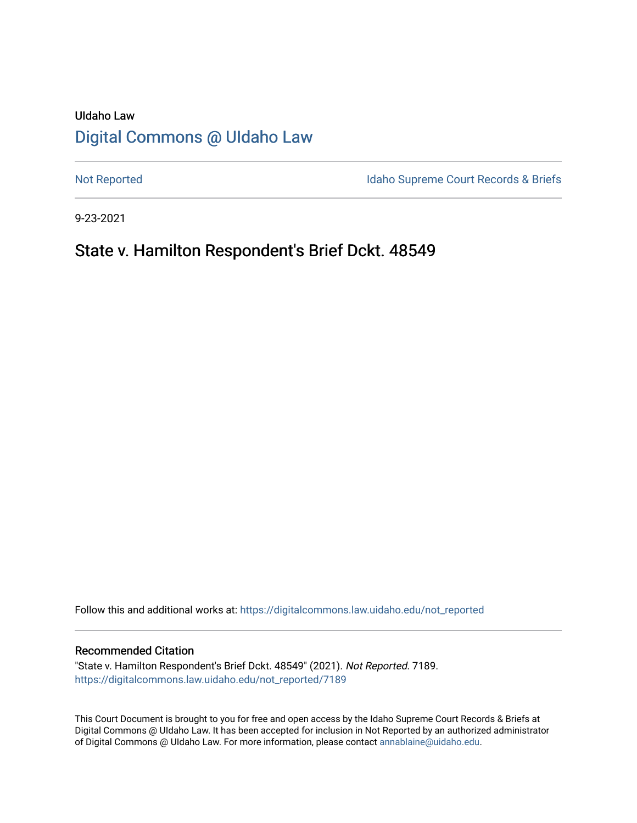# UIdaho Law [Digital Commons @ UIdaho Law](https://digitalcommons.law.uidaho.edu/)

[Not Reported](https://digitalcommons.law.uidaho.edu/not_reported) **Idaho Supreme Court Records & Briefs** 

9-23-2021

# State v. Hamilton Respondent's Brief Dckt. 48549

Follow this and additional works at: [https://digitalcommons.law.uidaho.edu/not\\_reported](https://digitalcommons.law.uidaho.edu/not_reported?utm_source=digitalcommons.law.uidaho.edu%2Fnot_reported%2F7189&utm_medium=PDF&utm_campaign=PDFCoverPages) 

#### Recommended Citation

"State v. Hamilton Respondent's Brief Dckt. 48549" (2021). Not Reported. 7189. [https://digitalcommons.law.uidaho.edu/not\\_reported/7189](https://digitalcommons.law.uidaho.edu/not_reported/7189?utm_source=digitalcommons.law.uidaho.edu%2Fnot_reported%2F7189&utm_medium=PDF&utm_campaign=PDFCoverPages)

This Court Document is brought to you for free and open access by the Idaho Supreme Court Records & Briefs at Digital Commons @ UIdaho Law. It has been accepted for inclusion in Not Reported by an authorized administrator of Digital Commons @ UIdaho Law. For more information, please contact [annablaine@uidaho.edu](mailto:annablaine@uidaho.edu).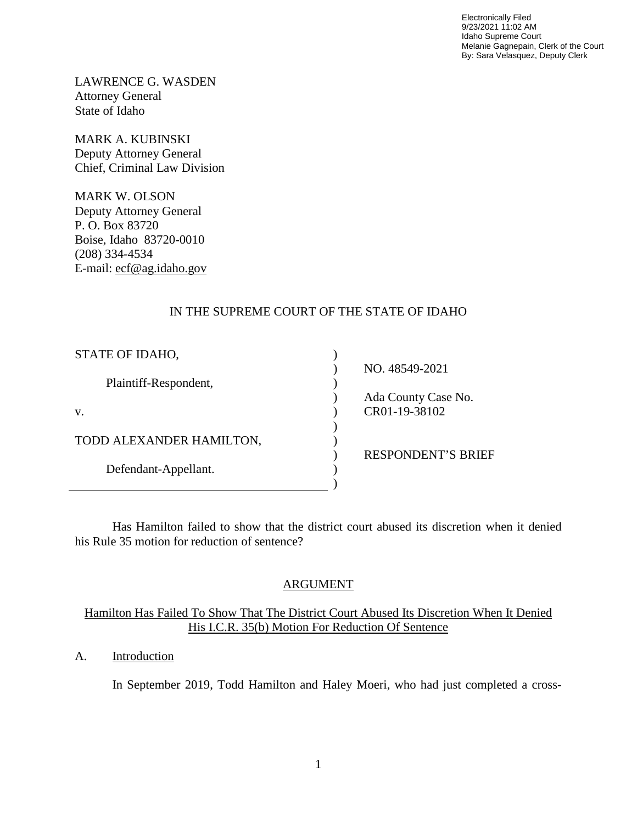Electronically Filed 9/23/2021 11:02 AM Idaho Supreme Court Melanie Gagnepain, Clerk of the Court By: Sara Velasquez, Deputy Clerk

LAWRENCE G. WASDEN Attorney General State of Idaho

MARK A. KUBINSKI Deputy Attorney General Chief, Criminal Law Division

MARK W. OLSON Deputy Attorney General P. O. Box 83720 Boise, Idaho 83720-0010 (208) 334-4534 E-mail: ecf@ag.idaho.gov

## IN THE SUPREME COURT OF THE STATE OF IDAHO

| STATE OF IDAHO,          |                           |
|--------------------------|---------------------------|
|                          | NO. 48549-2021            |
| Plaintiff-Respondent,    |                           |
|                          | Ada County Case No.       |
| V.                       | CR01-19-38102             |
|                          |                           |
| TODD ALEXANDER HAMILTON, |                           |
|                          | <b>RESPONDENT'S BRIEF</b> |
| Defendant-Appellant.     |                           |
|                          |                           |

Has Hamilton failed to show that the district court abused its discretion when it denied his Rule 35 motion for reduction of sentence?

## ARGUMENT

## Hamilton Has Failed To Show That The District Court Abused Its Discretion When It Denied His I.C.R. 35(b) Motion For Reduction Of Sentence

## A. Introduction

In September 2019, Todd Hamilton and Haley Moeri, who had just completed a cross-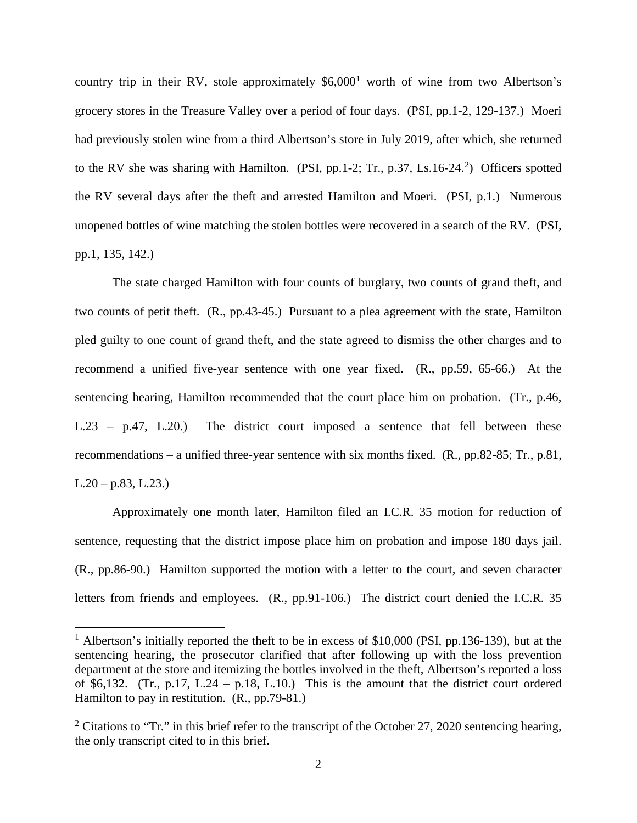country trip in their RV, stole approximately  $$6,000<sup>1</sup>$  $$6,000<sup>1</sup>$  $$6,000<sup>1</sup>$  worth of wine from two Albertson's grocery stores in the Treasure Valley over a period of four days. (PSI, pp.1-2, 129-137.) Moeri had previously stolen wine from a third Albertson's store in July 2019, after which, she returned to the RV she was sharing with Hamilton. (PSI, pp.1-[2](#page-2-1); Tr., p.37, Ls.16-24.<sup>2</sup>) Officers spotted the RV several days after the theft and arrested Hamilton and Moeri. (PSI, p.1.) Numerous unopened bottles of wine matching the stolen bottles were recovered in a search of the RV. (PSI, pp.1, 135, 142.)

The state charged Hamilton with four counts of burglary, two counts of grand theft, and two counts of petit theft. (R., pp.43-45.) Pursuant to a plea agreement with the state, Hamilton pled guilty to one count of grand theft, and the state agreed to dismiss the other charges and to recommend a unified five-year sentence with one year fixed. (R., pp.59, 65-66.) At the sentencing hearing, Hamilton recommended that the court place him on probation. (Tr., p.46, L.23 – p.47, L.20.) The district court imposed a sentence that fell between these recommendations – a unified three-year sentence with six months fixed. (R., pp.82-85; Tr., p.81,  $L.20 - p.83, L.23.$ 

Approximately one month later, Hamilton filed an I.C.R. 35 motion for reduction of sentence, requesting that the district impose place him on probation and impose 180 days jail. (R., pp.86-90.) Hamilton supported the motion with a letter to the court, and seven character letters from friends and employees. (R., pp.91-106.) The district court denied the I.C.R. 35

 $\overline{a}$ 

<span id="page-2-0"></span><sup>&</sup>lt;sup>1</sup> Albertson's initially reported the theft to be in excess of \$10,000 (PSI, pp.136-139), but at the sentencing hearing, the prosecutor clarified that after following up with the loss prevention department at the store and itemizing the bottles involved in the theft, Albertson's reported a loss of \$6,132. (Tr., p.17, L.24 – p.18, L.10.) This is the amount that the district court ordered Hamilton to pay in restitution. (R., pp.79-81.)

<span id="page-2-1"></span><sup>&</sup>lt;sup>2</sup> Citations to "Tr." in this brief refer to the transcript of the October 27, 2020 sentencing hearing, the only transcript cited to in this brief.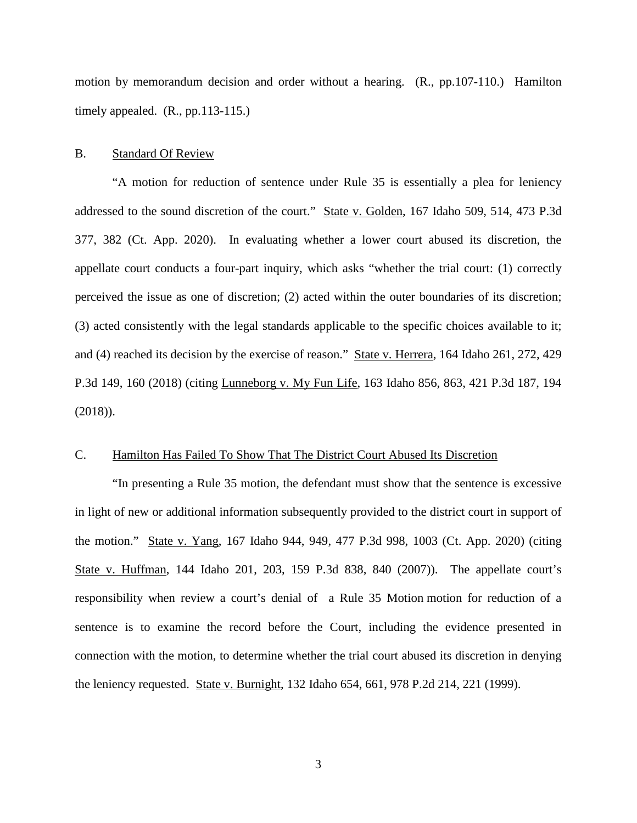motion by memorandum decision and order without a hearing. (R., pp.107-110.) Hamilton timely appealed. (R., pp.113-115.)

#### B. Standard Of Review

 "A motion for reduction of sentence under Rule 35 is essentially a plea for leniency addressed to the sound discretion of the court." State v. Golden, 167 Idaho 509, 514, 473 P.3d 377, 382 (Ct. App. 2020). In evaluating whether a lower court abused its discretion, the appellate court conducts a four-part inquiry, which asks "whether the trial court: (1) correctly perceived the issue as one of discretion; (2) acted within the outer boundaries of its discretion; (3) acted consistently with the legal standards applicable to the specific choices available to it; and (4) reached its decision by the exercise of reason." State v. Herrera, 164 Idaho 261, 272, 429 P.3d 149, 160 (2018) (citing Lunneborg v. My Fun Life, 163 Idaho 856, 863, 421 P.3d 187, 194 (2018)).

#### C. Hamilton Has Failed To Show That The District Court Abused Its Discretion

"In presenting a Rule 35 motion, the defendant must show that the sentence is excessive in light of new or additional information subsequently provided to the district court in support of the motion." State v. Yang, 167 Idaho 944, 949, 477 P.3d 998, 1003 (Ct. App. 2020) (citing State v. Huffman, 144 Idaho 201, 203, 159 P.3d 838, 840 (2007)). The appellate court's responsibility when review a court's denial of a Rule 35 Motion motion for reduction of a sentence is to examine the record before the Court, including the evidence presented in connection with the motion, to determine whether the trial court abused its discretion in denying the leniency requested. State v. Burnight, 132 Idaho 654, 661, 978 P.2d 214, 221 (1999).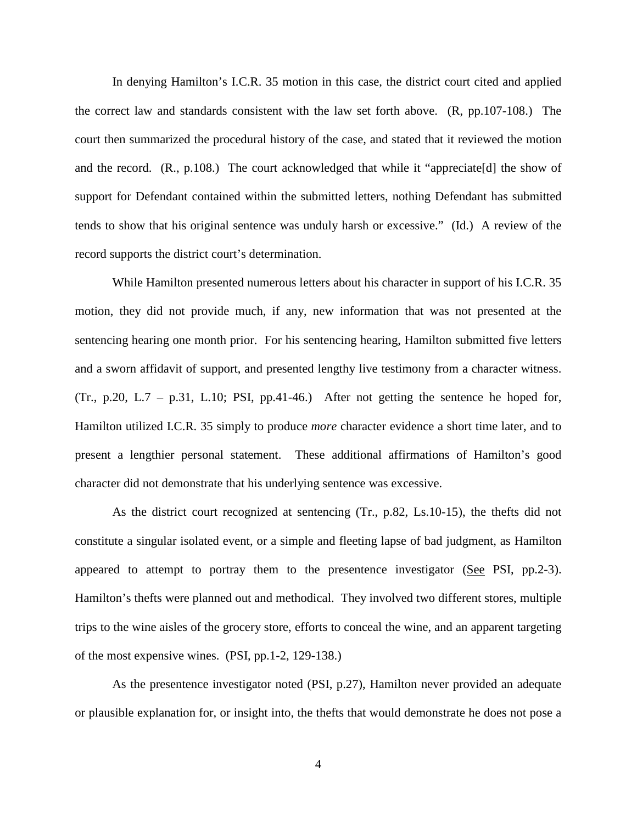In denying Hamilton's I.C.R. 35 motion in this case, the district court cited and applied the correct law and standards consistent with the law set forth above. (R, pp.107-108.) The court then summarized the procedural history of the case, and stated that it reviewed the motion and the record. (R., p.108.) The court acknowledged that while it "appreciate[d] the show of support for Defendant contained within the submitted letters, nothing Defendant has submitted tends to show that his original sentence was unduly harsh or excessive." (Id.) A review of the record supports the district court's determination.

While Hamilton presented numerous letters about his character in support of his I.C.R. 35 motion, they did not provide much, if any, new information that was not presented at the sentencing hearing one month prior. For his sentencing hearing, Hamilton submitted five letters and a sworn affidavit of support, and presented lengthy live testimony from a character witness. (Tr., p.20, L.7 – p.31, L.10; PSI, pp.41-46.) After not getting the sentence he hoped for, Hamilton utilized I.C.R. 35 simply to produce *more* character evidence a short time later, and to present a lengthier personal statement. These additional affirmations of Hamilton's good character did not demonstrate that his underlying sentence was excessive.

As the district court recognized at sentencing (Tr., p.82, Ls.10-15), the thefts did not constitute a singular isolated event, or a simple and fleeting lapse of bad judgment, as Hamilton appeared to attempt to portray them to the presentence investigator  $(See$  PSI, pp.2-3). Hamilton's thefts were planned out and methodical. They involved two different stores, multiple trips to the wine aisles of the grocery store, efforts to conceal the wine, and an apparent targeting of the most expensive wines. (PSI, pp.1-2, 129-138.)

As the presentence investigator noted (PSI, p.27), Hamilton never provided an adequate or plausible explanation for, or insight into, the thefts that would demonstrate he does not pose a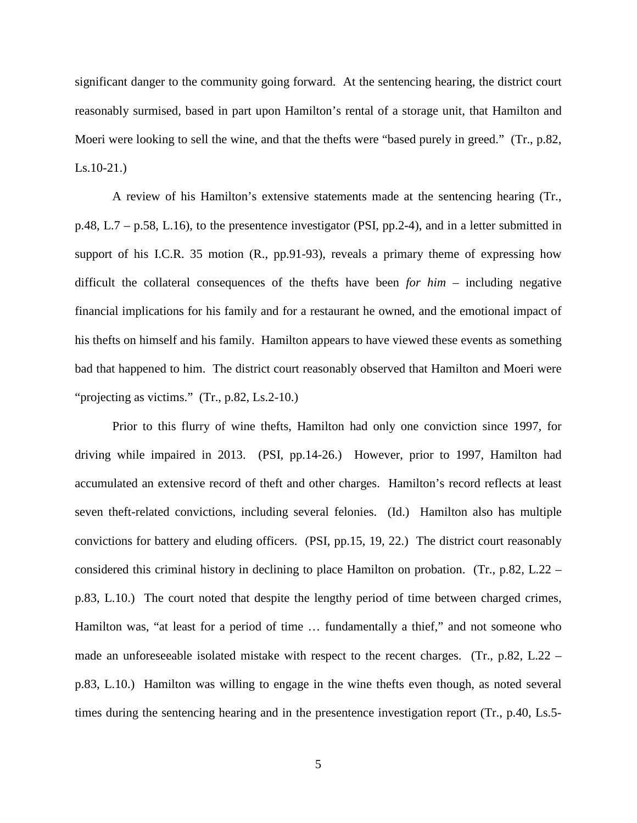significant danger to the community going forward. At the sentencing hearing, the district court reasonably surmised, based in part upon Hamilton's rental of a storage unit, that Hamilton and Moeri were looking to sell the wine, and that the thefts were "based purely in greed." (Tr., p.82, Ls.10-21.)

A review of his Hamilton's extensive statements made at the sentencing hearing (Tr., p.48, L.7 – p.58, L.16), to the presentence investigator (PSI, pp.2-4), and in a letter submitted in support of his I.C.R. 35 motion (R., pp.91-93), reveals a primary theme of expressing how difficult the collateral consequences of the thefts have been *for him* – including negative financial implications for his family and for a restaurant he owned, and the emotional impact of his thefts on himself and his family. Hamilton appears to have viewed these events as something bad that happened to him. The district court reasonably observed that Hamilton and Moeri were "projecting as victims." (Tr., p.82, Ls.2-10.)

Prior to this flurry of wine thefts, Hamilton had only one conviction since 1997, for driving while impaired in 2013. (PSI, pp.14-26.) However, prior to 1997, Hamilton had accumulated an extensive record of theft and other charges. Hamilton's record reflects at least seven theft-related convictions, including several felonies. (Id.) Hamilton also has multiple convictions for battery and eluding officers. (PSI, pp.15, 19, 22.) The district court reasonably considered this criminal history in declining to place Hamilton on probation. (Tr., p.82, L.22 – p.83, L.10.) The court noted that despite the lengthy period of time between charged crimes, Hamilton was, "at least for a period of time … fundamentally a thief," and not someone who made an unforeseeable isolated mistake with respect to the recent charges. (Tr., p.82, L.22 – p.83, L.10.) Hamilton was willing to engage in the wine thefts even though, as noted several times during the sentencing hearing and in the presentence investigation report (Tr., p.40, Ls.5-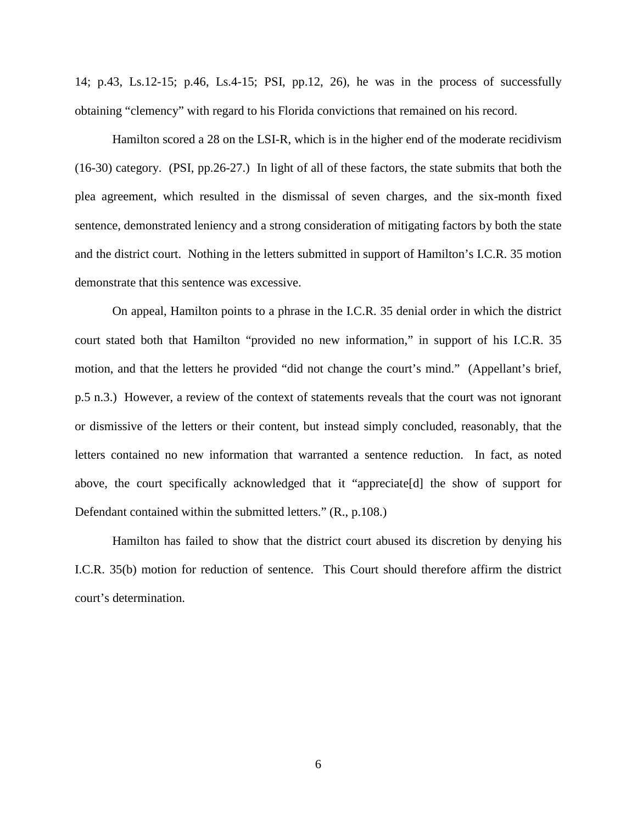14; p.43, Ls.12-15; p.46, Ls.4-15; PSI, pp.12, 26), he was in the process of successfully obtaining "clemency" with regard to his Florida convictions that remained on his record.

Hamilton scored a 28 on the LSI-R, which is in the higher end of the moderate recidivism (16-30) category. (PSI, pp.26-27.) In light of all of these factors, the state submits that both the plea agreement, which resulted in the dismissal of seven charges, and the six-month fixed sentence, demonstrated leniency and a strong consideration of mitigating factors by both the state and the district court. Nothing in the letters submitted in support of Hamilton's I.C.R. 35 motion demonstrate that this sentence was excessive.

On appeal, Hamilton points to a phrase in the I.C.R. 35 denial order in which the district court stated both that Hamilton "provided no new information," in support of his I.C.R. 35 motion, and that the letters he provided "did not change the court's mind." (Appellant's brief, p.5 n.3.) However, a review of the context of statements reveals that the court was not ignorant or dismissive of the letters or their content, but instead simply concluded, reasonably, that the letters contained no new information that warranted a sentence reduction. In fact, as noted above, the court specifically acknowledged that it "appreciate[d] the show of support for Defendant contained within the submitted letters." (R., p.108.)

Hamilton has failed to show that the district court abused its discretion by denying his I.C.R. 35(b) motion for reduction of sentence. This Court should therefore affirm the district court's determination.